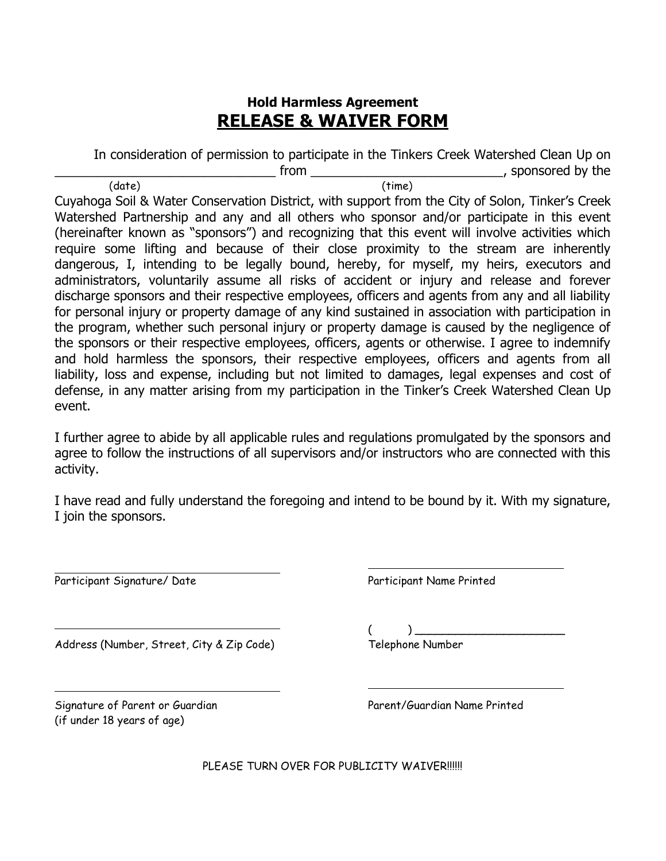## **Hold Harmless Agreement RELEASE & WAIVER FORM**

In consideration of permission to participate in the Tinkers Creek Watershed Clean Up on \_\_\_\_\_\_\_\_\_\_\_\_\_\_\_\_\_\_\_\_\_\_\_\_\_\_\_\_\_\_\_ from \_\_\_\_\_\_\_\_\_\_\_\_\_\_\_\_\_\_\_\_\_\_\_\_\_\_\_, sponsored by the (date) (time)

Cuyahoga Soil & Water Conservation District, with support from the City of Solon, Tinker's Creek Watershed Partnership and any and all others who sponsor and/or participate in this event (hereinafter known as "sponsors") and recognizing that this event will involve activities which require some lifting and because of their close proximity to the stream are inherently dangerous, I, intending to be legally bound, hereby, for myself, my heirs, executors and administrators, voluntarily assume all risks of accident or injury and release and forever discharge sponsors and their respective employees, officers and agents from any and all liability for personal injury or property damage of any kind sustained in association with participation in the program, whether such personal injury or property damage is caused by the negligence of the sponsors or their respective employees, officers, agents or otherwise. I agree to indemnify and hold harmless the sponsors, their respective employees, officers and agents from all liability, loss and expense, including but not limited to damages, legal expenses and cost of defense, in any matter arising from my participation in the Tinker's Creek Watershed Clean Up event.

I further agree to abide by all applicable rules and regulations promulgated by the sponsors and agree to follow the instructions of all supervisors and/or instructors who are connected with this activity.

I have read and fully understand the foregoing and intend to be bound by it. With my signature, I join the sponsors.

Participant Signature/ Date Participant Name Printed

Address (Number, Street, City & Zip Code) Telephone Number

Signature of Parent or Guardian Parent/Guardian Name Printed (if under 18 years of age)

 $($   $)$   $)$   $\overline{\phantom{0}}$ 

PLEASE TURN OVER FOR PUBLICITY WAIVER!!!!!!